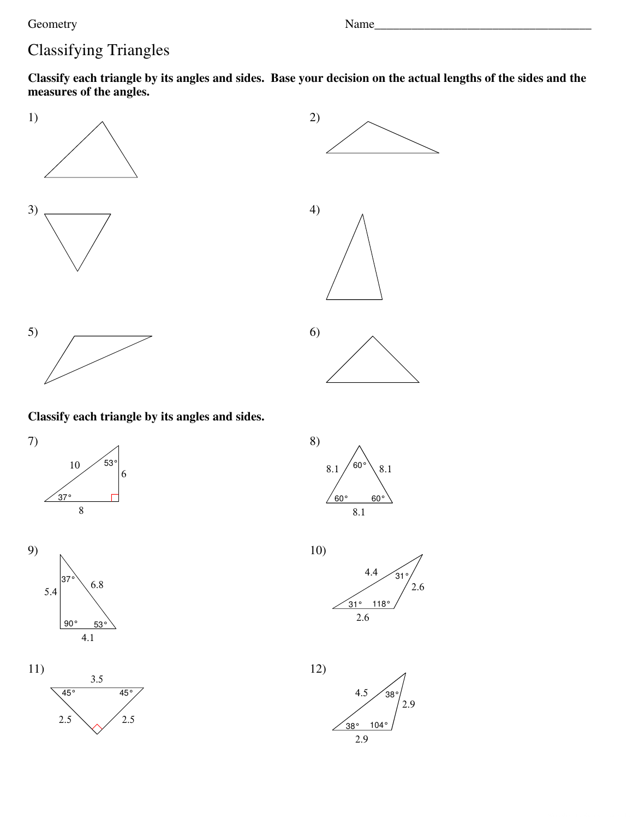Name\_

# **Classifying Triangles**

Classify each triangle by its angles and sides. Base your decision on the actual lengths of the sides and the measures of the angles.





Classify each triangle by its angles and sides.













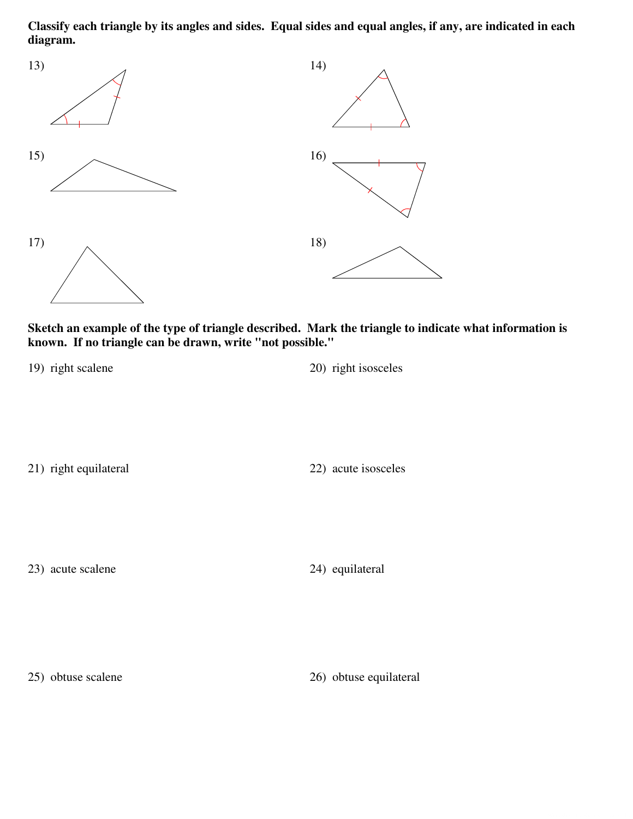**Classify each triangle by its angles and sides. Equal sides and equal angles, if any, are indicated in each diagram.**



**Sketch an example of the type of triangle described. Mark the triangle to indicate what information is known. If no triangle can be drawn, write "not possible."**

19) right scalene 20) right isosceles

21) right equilateral 22) acute isosceles

23) acute scalene 24) equilateral

25) obtuse scalene 26) obtuse equilateral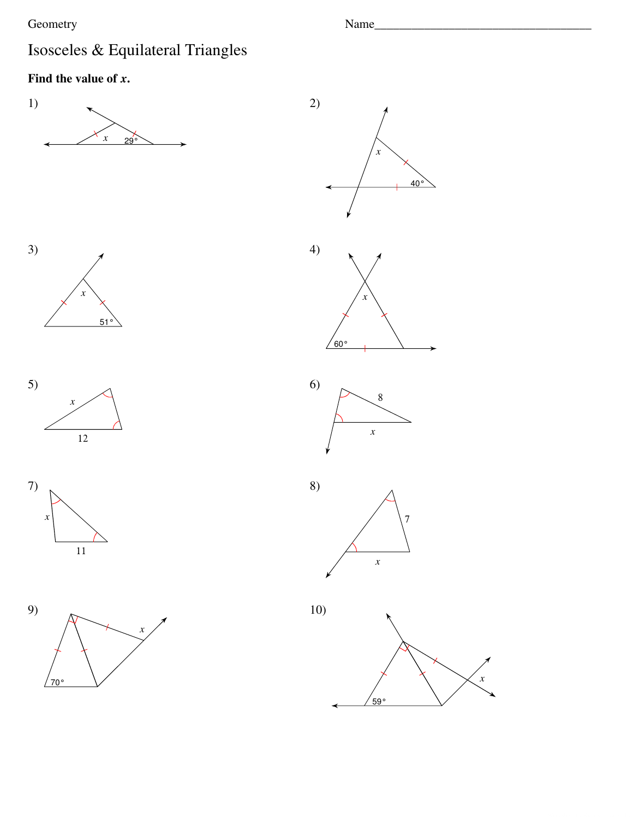# Isosceles & Equilateral Triangles

## Find the value of  $x$ .





 $\mathbf{x}$ 

Name\_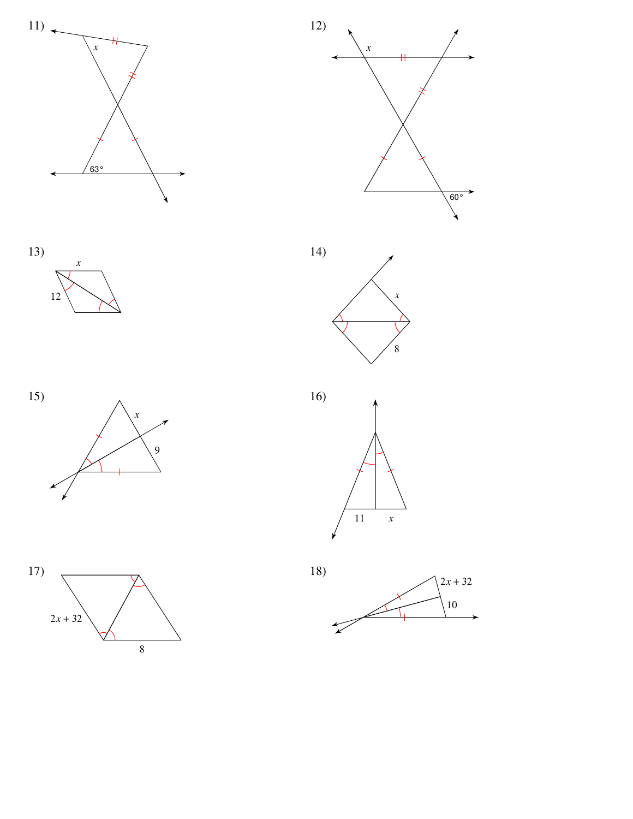













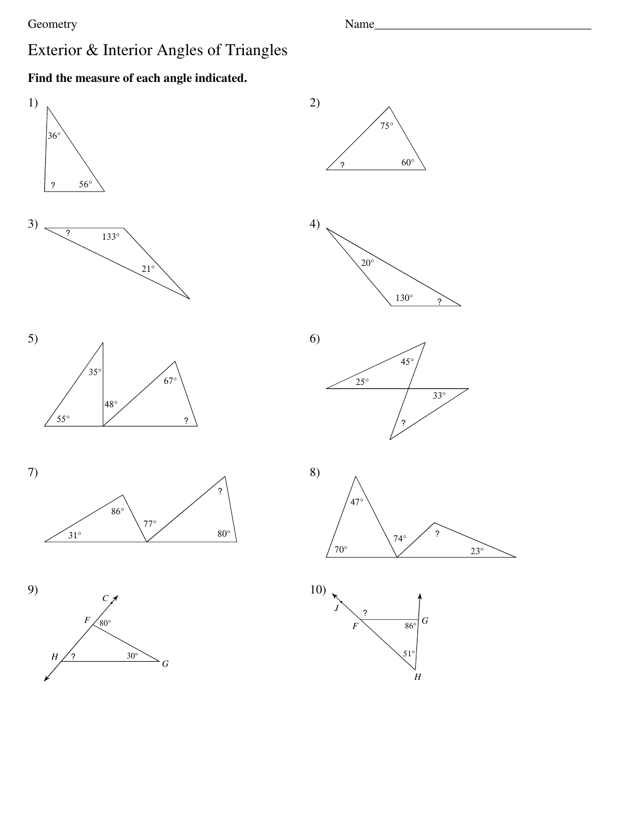Name\_

 $23^\circ$ 

 $51^\circ$ 

 $\overline{H}$ 

## Exterior & Interior Angles of Triangles

### Find the measure of each angle indicated.

 $30^\circ$ 

 $\overline{G}$ 

 $\boldsymbol{H}$ 

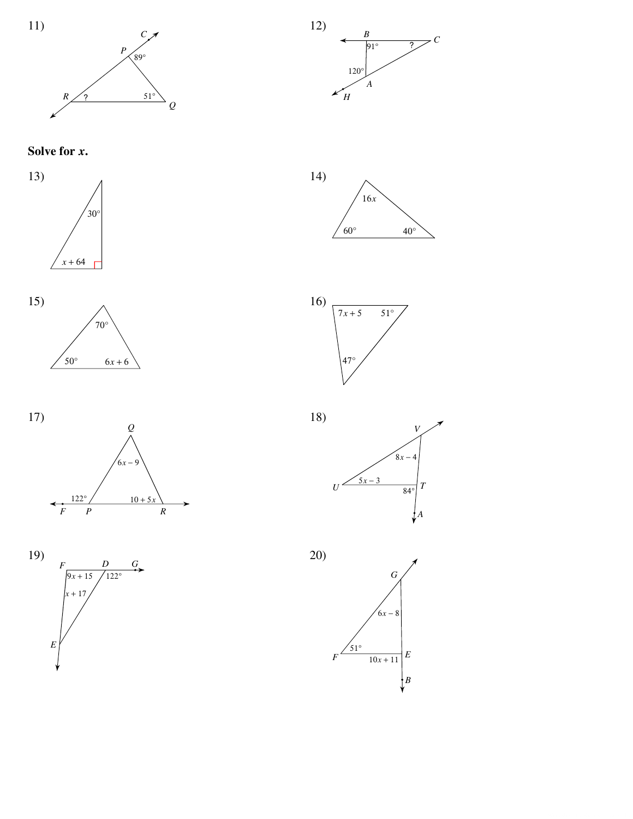



















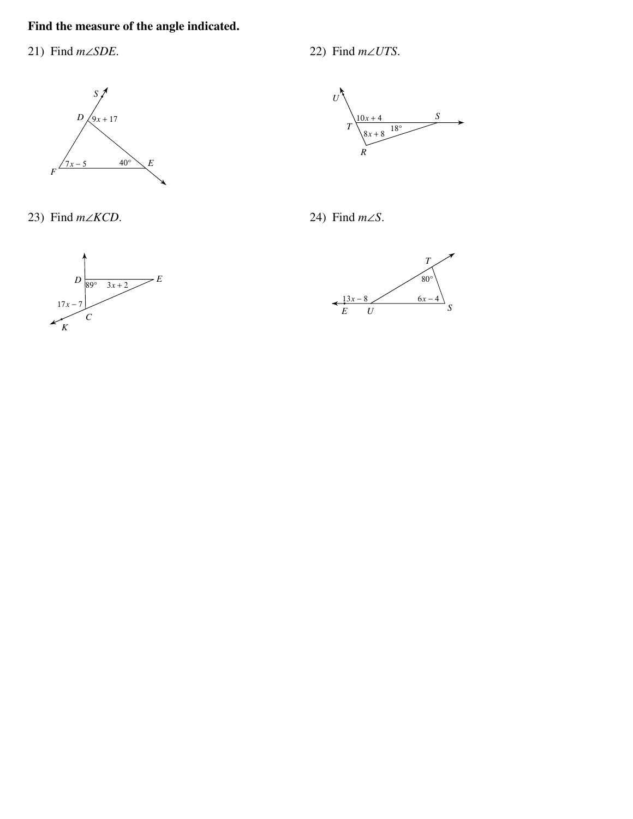#### Find the measure of the angle indicated.

21) Find  $m\angle SDE$ .

 $S\bigset$  $D\bigg\langle 9x+17$  $\frac{1}{7x-5}$  40°  $E$  $\overline{F}$ 

23) Find  $m\angle KCD$ .





24) Find  $m\angle S$ .



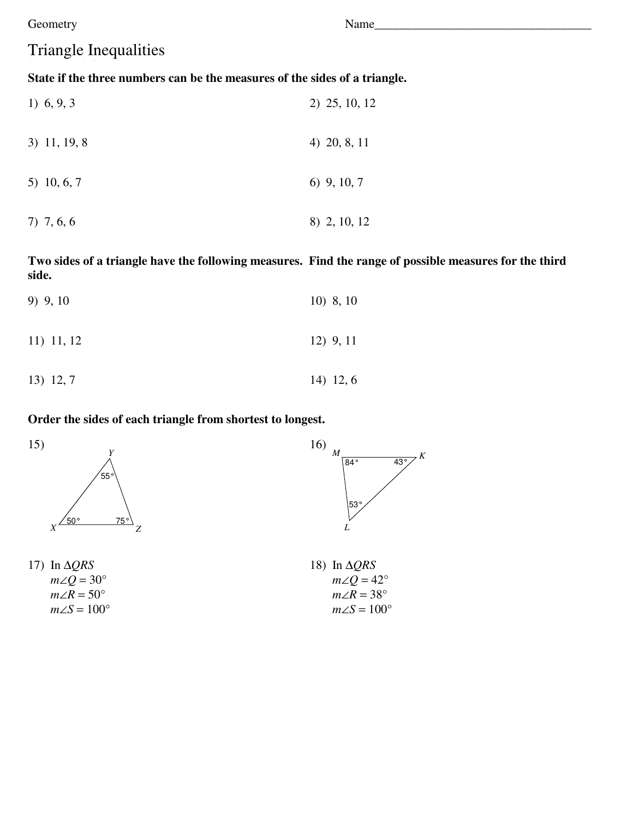## **Triangle Inequalities**

#### State if the three numbers can be the measures of the sides of a triangle.

| 1) $6, 9, 3$   | 2) 25, 10, 12 |
|----------------|---------------|
| $3)$ 11, 19, 8 | 4) 20, 8, 11  |
| 5) 10, 6, 7    | $6)$ 9, 10, 7 |
| 7) 7, 6, 6     | 8) 2, 10, 12  |

Two sides of a triangle have the following measures. Find the range of possible measures for the third side.

| 9) 9, 10     | $10)$ 8, 10 |
|--------------|-------------|
| $11)$ 11, 12 | $12)$ 9, 11 |
| 13) 12, 7    | $14)$ 12, 6 |

#### Order the sides of each triangle from shortest to longest.



17) In  $\triangle QRS$  $m\angle Q = 30^{\circ}$  $m\angle R = 50^\circ$  $m\angle S=100^\circ$ 



18) In  $\triangle QRS$  $m\angle Q = 42^{\circ}$  $m\angle R = 38^\circ$  $m\angle S=100^\circ$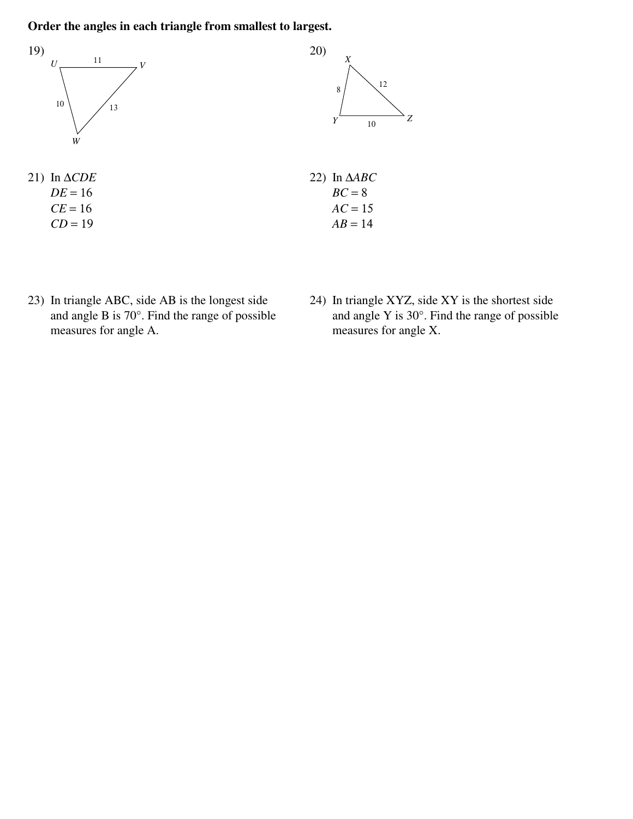#### Order the angles in each triangle from smallest to largest.



- 23) In triangle ABC, side AB is the longest side and angle B is 70°. Find the range of possible measures for angle A.
- 24) In triangle XYZ, side XY is the shortest side and angle Y is 30°. Find the range of possible measures for angle X.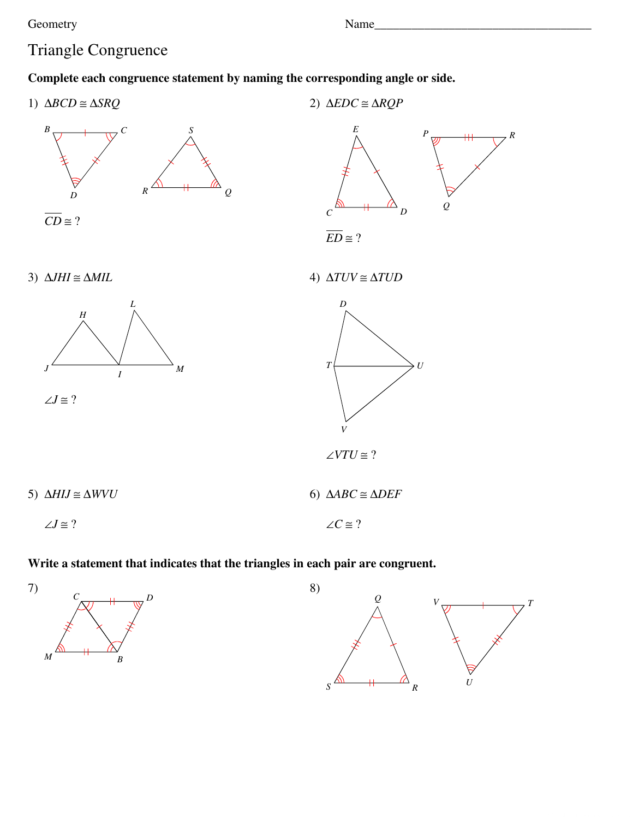Name

## **Triangle Congruence**

#### Complete each congruence statement by naming the corresponding angle or side.



5)  $\Delta H I J \cong \Delta W V U$ 6)  $\triangle ABC \cong \triangle DEF$  $\angle J \cong ?$  $\angle C \cong ?$ 

#### Write a statement that indicates that the triangles in each pair are congruent.



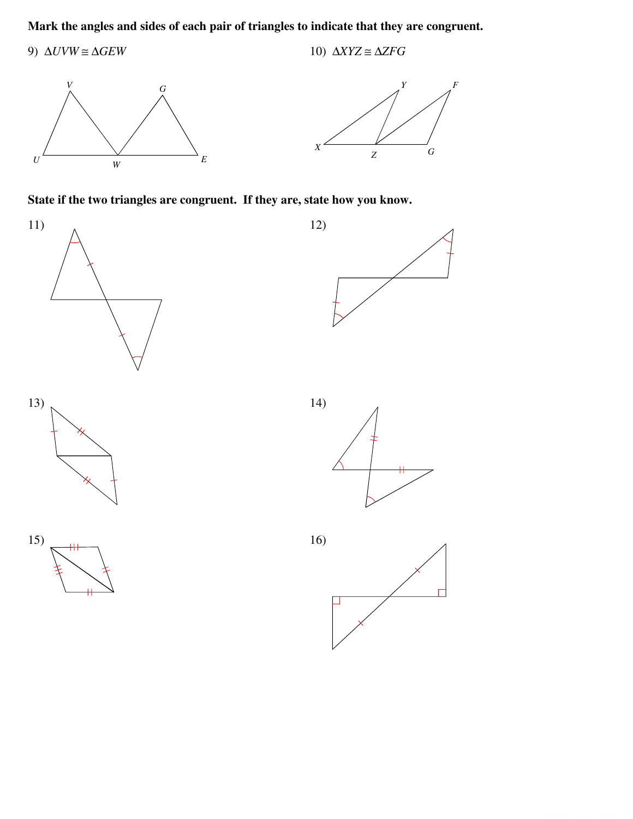#### Mark the angles and sides of each pair of triangles to indicate that they are congruent.

9)  $\Delta UVW \cong \Delta GEW$ 10)  $\triangle XYZ \cong \triangle ZFG$ 





State if the two triangles are congruent. If they are, state how you know.





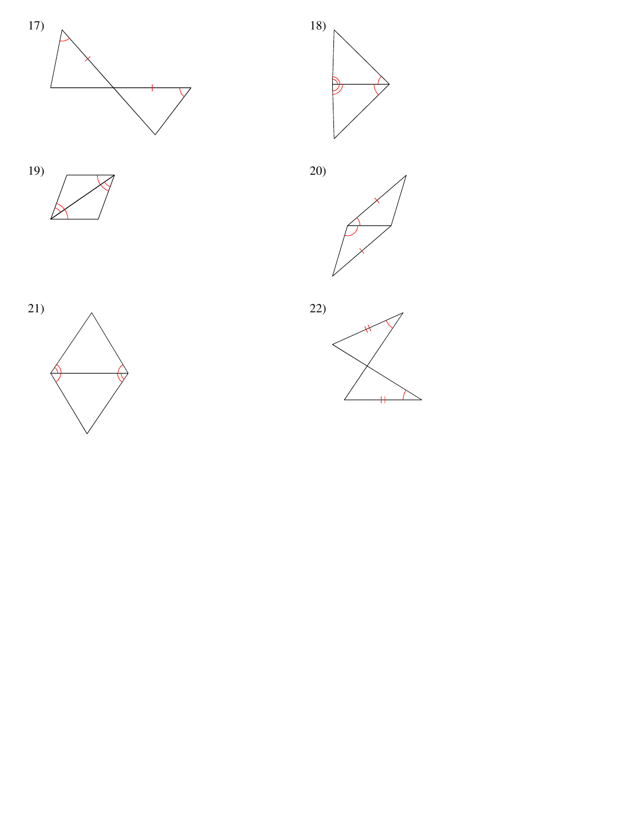









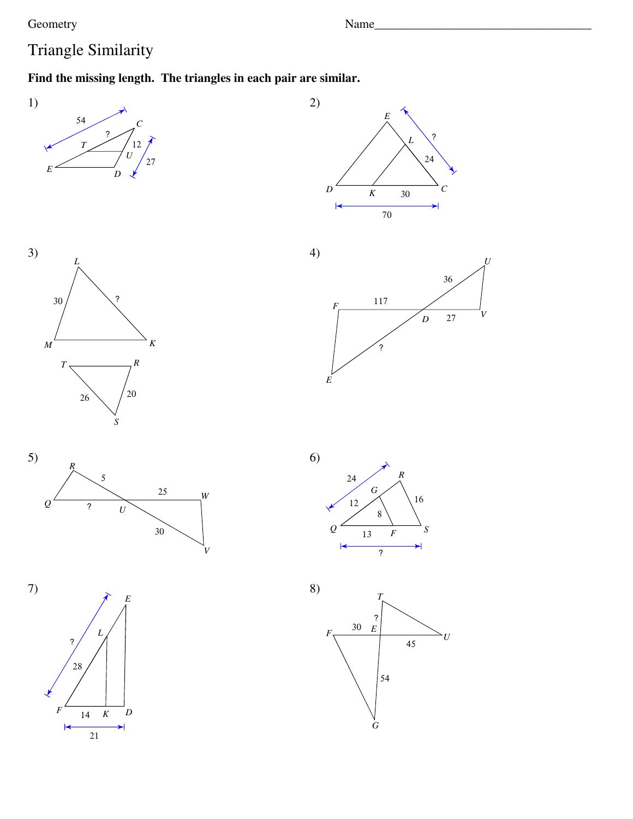Name\_

## Triangle Similarity

### Find the missing length. The triangles in each pair are similar.















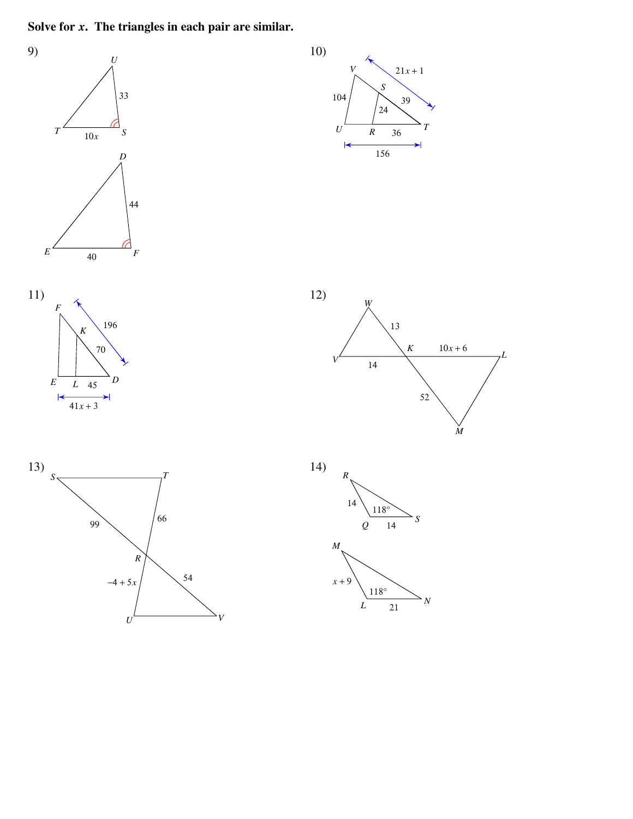Solve for  $x$ . The triangles in each pair are similar.

 $\boldsymbol{U}$ 

 $\bar{V}$ 



 $\overline{N}$ 

 $\overline{L}$ 

 $\overline{21}$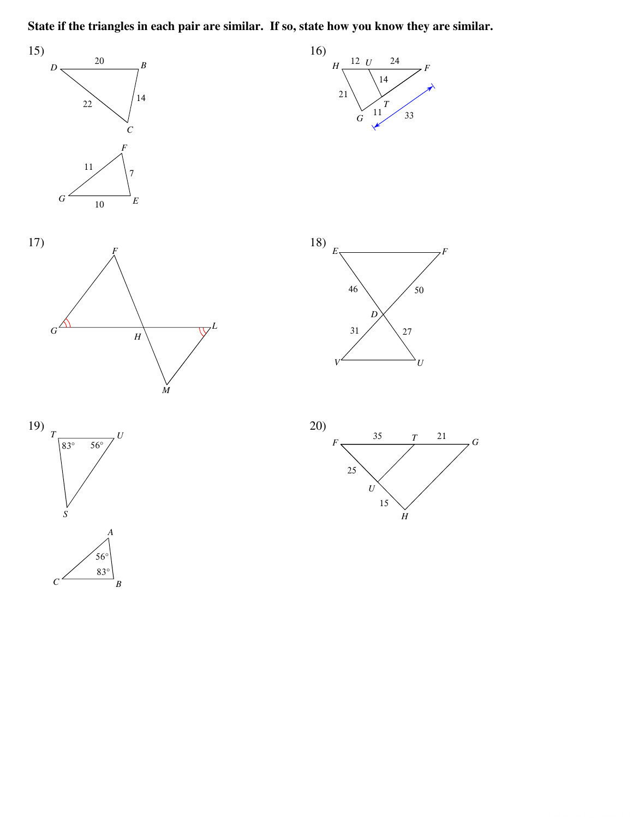State if the triangles in each pair are similar. If so, state how you know they are similar.



 $\overline{G}$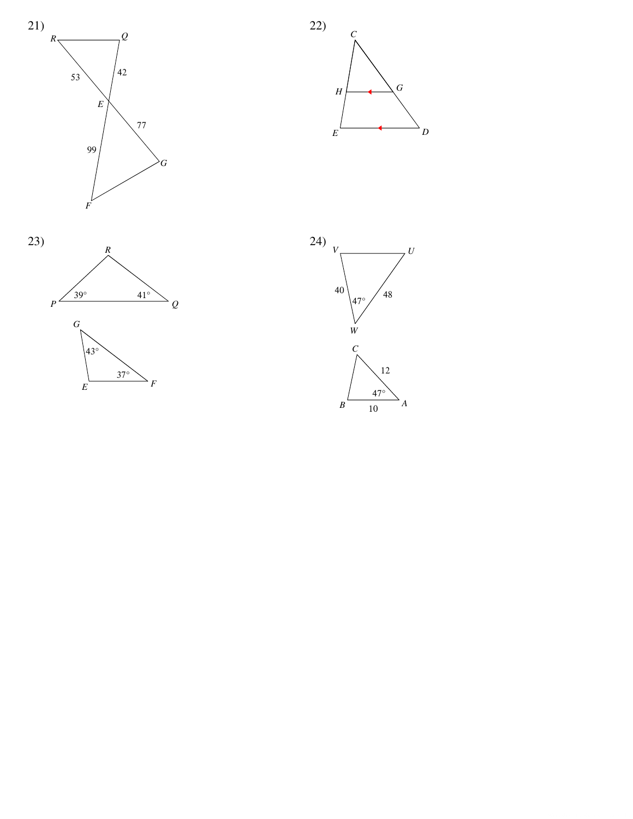





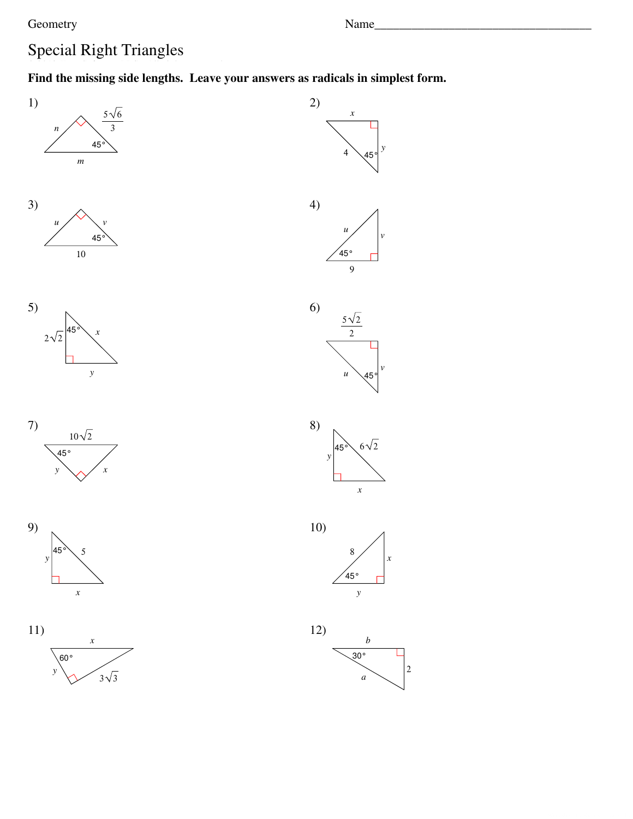# **Special Right Triangles**

### Find the missing side lengths. Leave your answers as radicals in simplest form.











 $11)$  $\boldsymbol{x}$  $60^{\circ}$  $\sqrt{3}\sqrt{3}$  $\mathbf{v}$ 



 $\overline{9}$ 







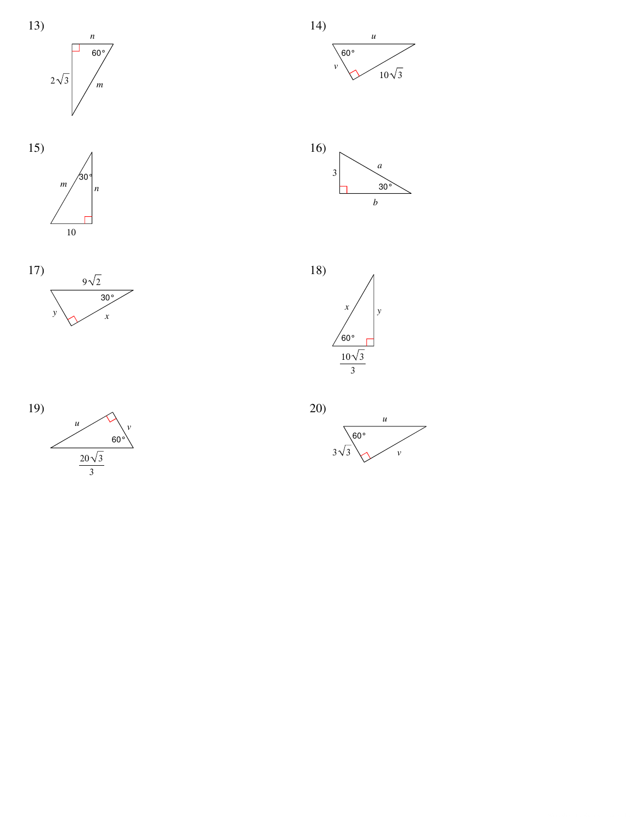















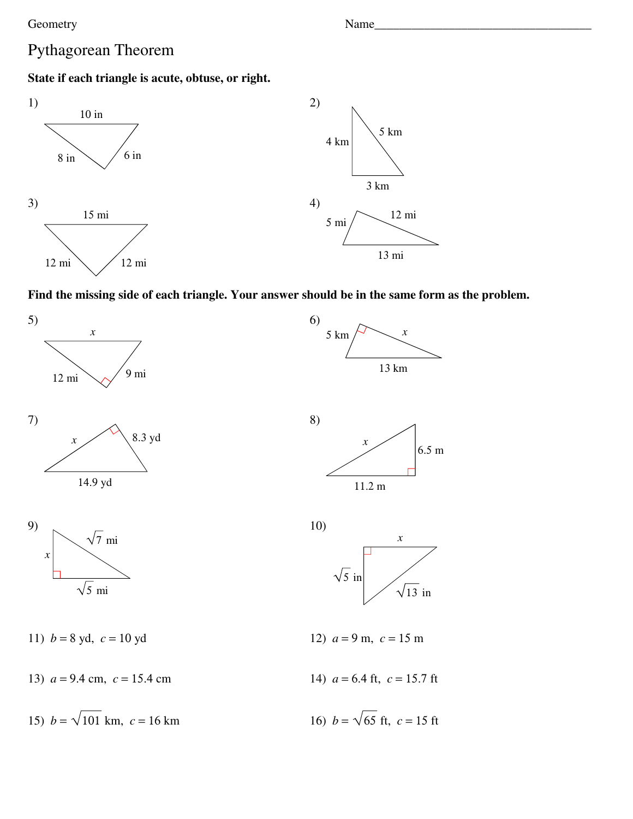#### Geometry **Example 2** and the Name **Name Name Name** *Name Name Name Name Name Name Name Name Name Name Name Name Name Name Name Name Name NAME NAM*

## Pythagorean Theorem

### **State if each triangle is acute, obtuse, or right.**



### **Find the missing side of each triangle. Your answer should be in the same form as the problem.**







11)  $b = 8$  yd,  $c = 10$  yd 12)  $a = 9$  m,  $c = 15$  m

13)  $a = 9.4$  cm,  $c = 15.4$  cm 14)  $a = 6.4$  ft,  $c = 15.7$  ft

15)  $b = \sqrt{101}$  km,  $c = 16$  km







16) 
$$
b = \sqrt{65}
$$
 ft,  $c = 15$  ft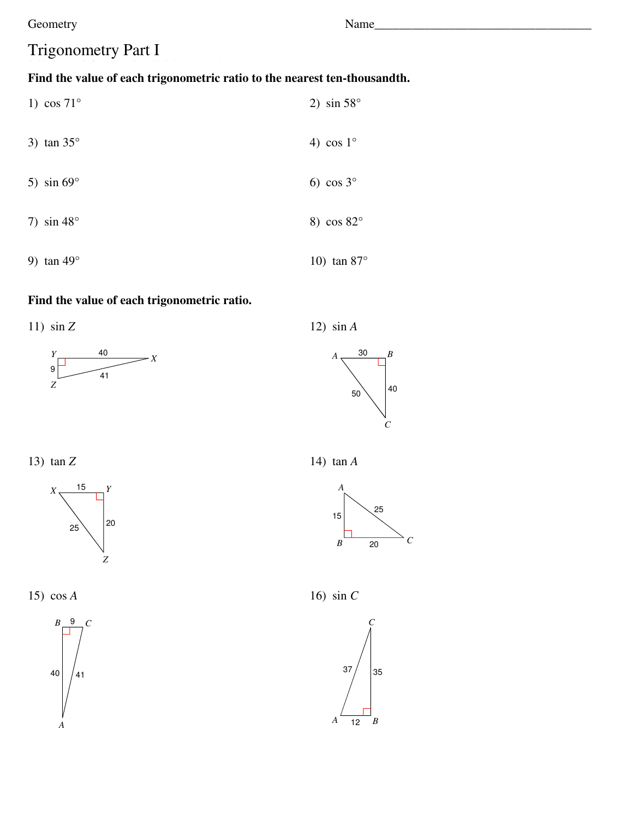Name

# **Trigonometry Part I**

### Find the value of each trigonometric ratio to the nearest ten-thousandth.

|    | 1) $\cos 71^\circ$ | 2) $\sin 58^\circ$  |
|----|--------------------|---------------------|
|    | 3) $\tan 35^\circ$ | 4) cos $1^{\circ}$  |
|    | 5) $\sin 69^\circ$ | 6) $\cos 3^\circ$   |
|    | 7) $\sin 48^\circ$ | 8) $\cos 82^\circ$  |
| 9) | $\tan 49^\circ$    | 10) $\tan 87^\circ$ |

### Find the value of each trigonometric ratio.

11)  $\sin Z$ 





12)  $\sin A$ 

13)  $\tan Z$ 



15)  $\cos A$ 



14)  $\tan A$ 



 $\mathcal{C}$ 

16) sin  $C$ 

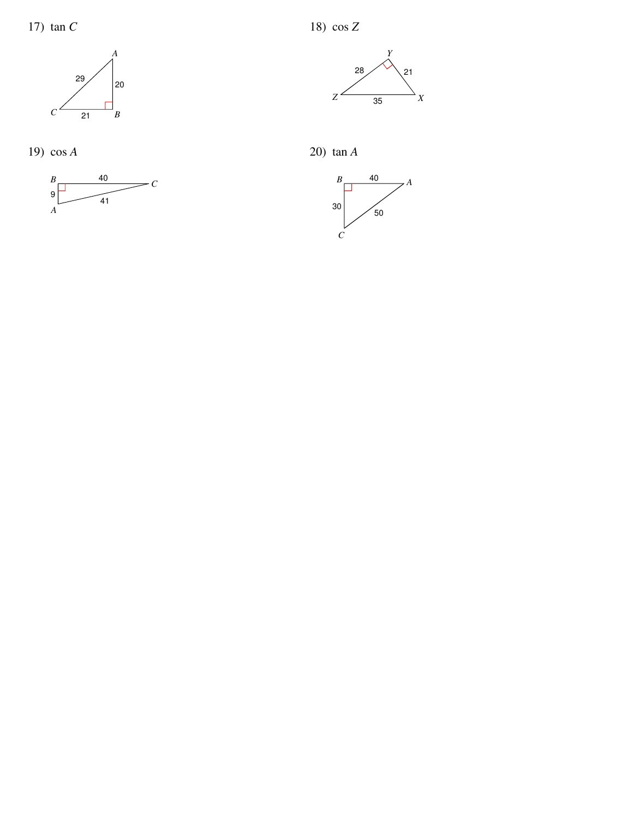

19)  $\cos A$ 





20)  $\tan A$ 

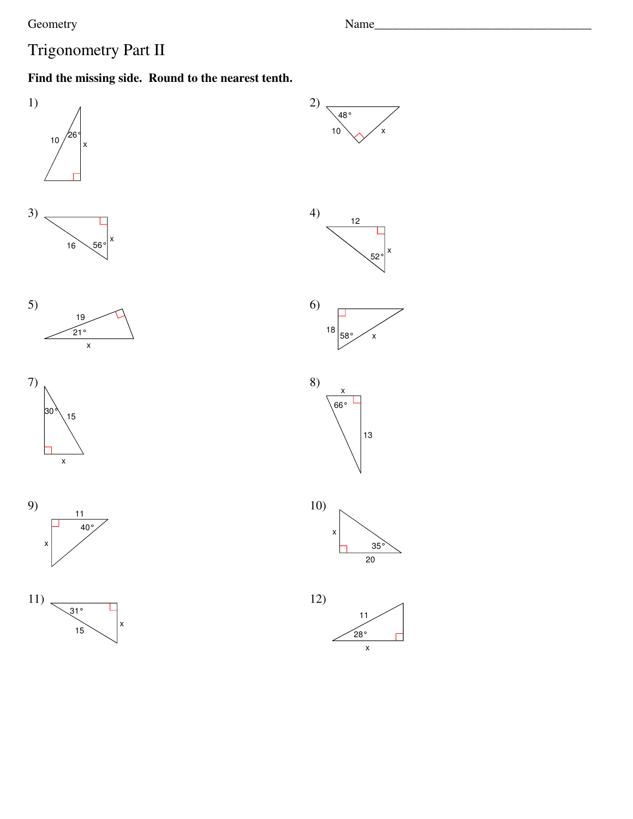Name\_

# Trigonometry Part II

### Find the missing side. Round to the nearest tenth.

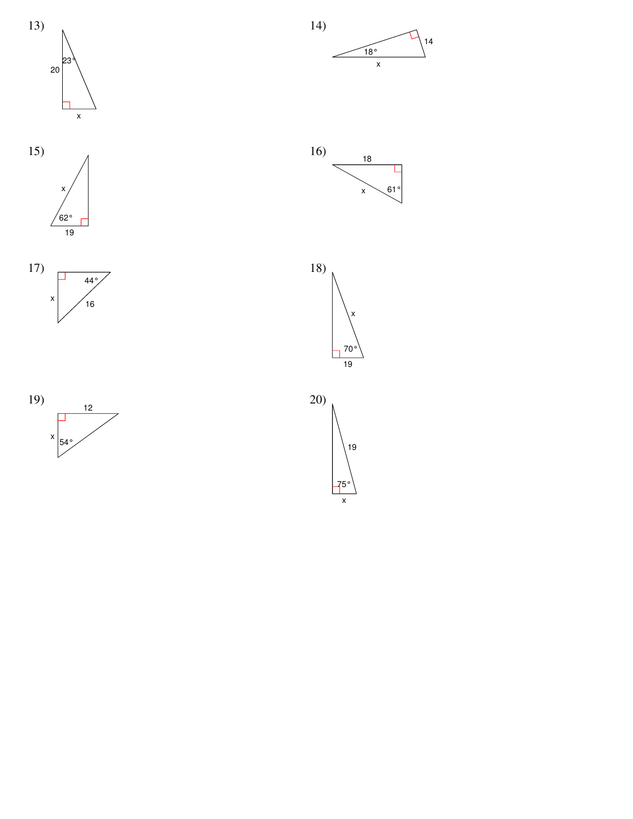













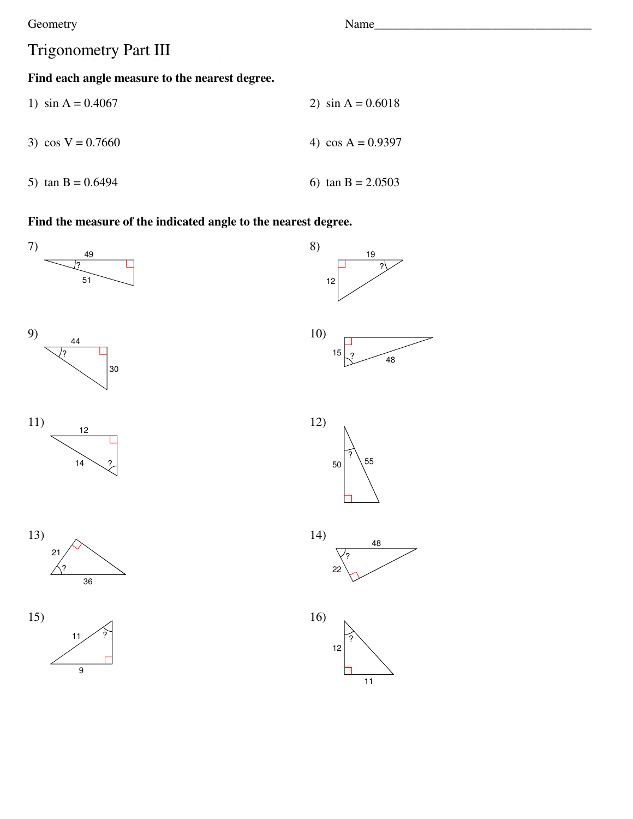## Trigonometry Part III

#### Find each angle measure to the nearest degree.

| 1) $\sin A = 0.4067$ | 2) $\sin A = 0.6018$ |
|----------------------|----------------------|
| 3) $\cos V = 0.7660$ | 4) $\cos A = 0.9397$ |
| 5) $\tan B = 0.6494$ | 6) $\tan B = 2.0503$ |

### Find the measure of the indicated angle to the nearest degree.











Name\_

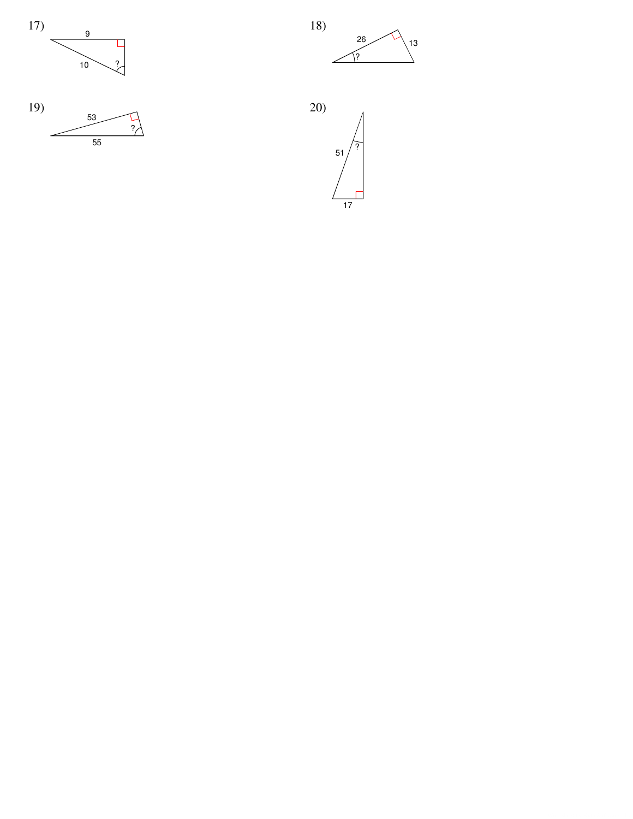





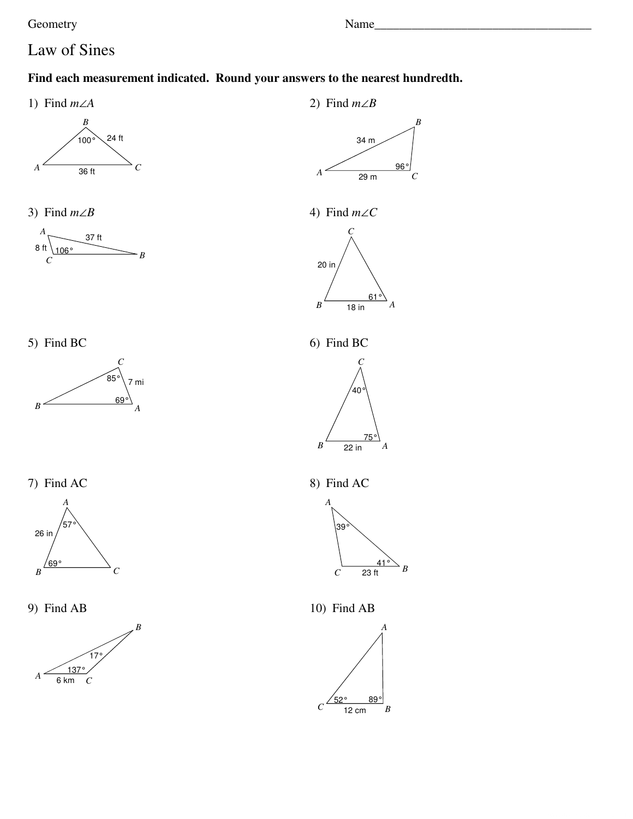Name\_

## Law of Sines

#### Find each measurement indicated. Round your answers to the nearest hundredth.

1) Find  $m\angle A$ 



3) Find  $m\angle B$ 







7) Find AC



9) Find AB



2) Find  $m\angle B$ 



4) Find  $m \angle C$ 



6) Find BC



8) Find AC



10) Find AB

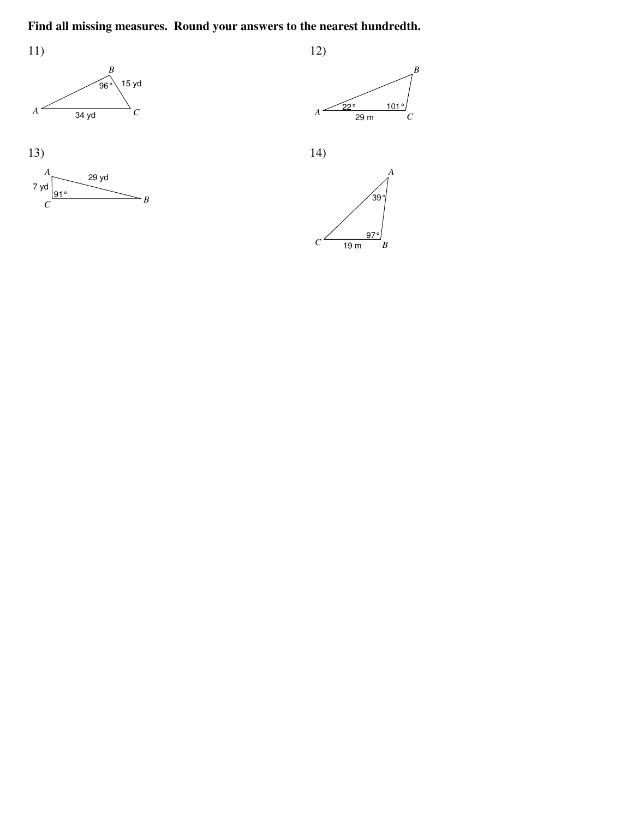### Find all missing measures. Round your answers to the nearest hundredth.













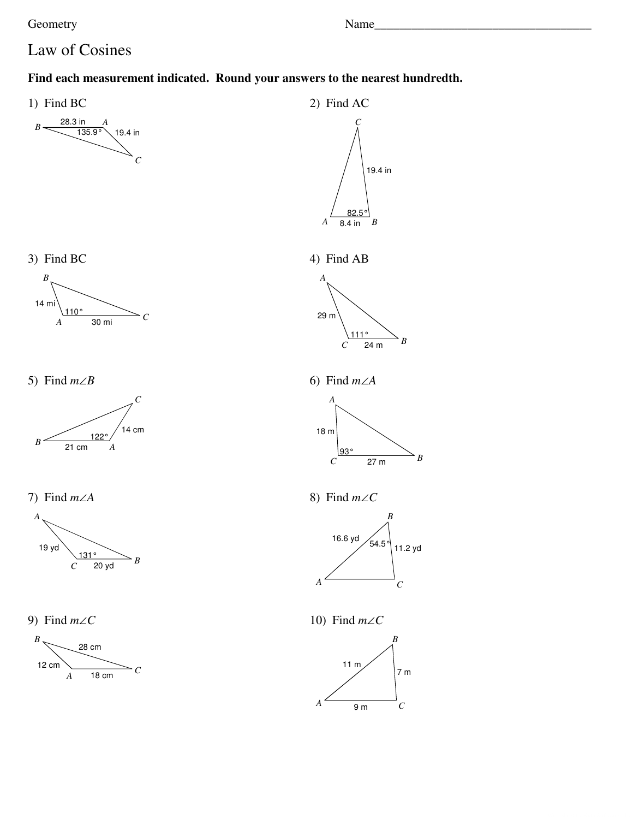Geometry **Example 2** and the Name **Name Name Name** *Name Name Name Name Name Name Name Name Name Name Name Name Name Name Name Name Name NAME NAM* 

### Law of Cosines

#### **Find each measurement indicated. Round your answers to the nearest hundredth.**









5) Find *m*∠*B*



7) Find *m*∠*A*



9) Find *m*∠*C*



2) Find AC 19.4 in *C*







6) Find *m*∠*A*



8) Find *m*∠*C*



10) Find *m*∠*C*